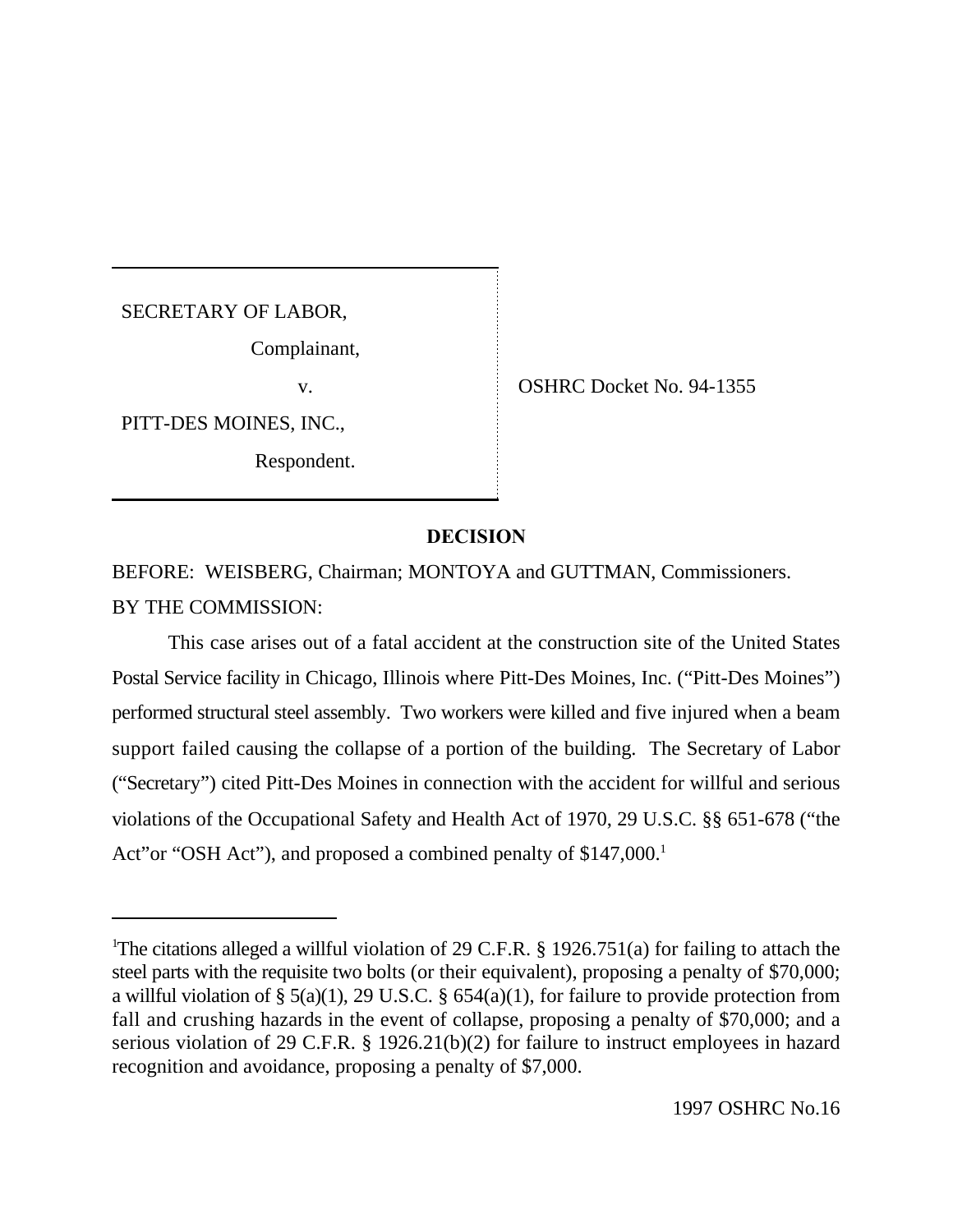SECRETARY OF LABOR,

Complainant,

PITT-DES MOINES, INC.,

Respondent.

v. **OSHRC Docket No. 94-1355** 

## **DECISION**

BEFORE: WEISBERG, Chairman; MONTOYA and GUTTMAN, Commissioners. BY THE COMMISSION:

This case arises out of a fatal accident at the construction site of the United States Postal Service facility in Chicago, Illinois where Pitt-Des Moines, Inc. ("Pitt-Des Moines") performed structural steel assembly. Two workers were killed and five injured when a beam support failed causing the collapse of a portion of the building. The Secretary of Labor ("Secretary") cited Pitt-Des Moines in connection with the accident for willful and serious violations of the Occupational Safety and Health Act of 1970, 29 U.S.C. §§ 651-678 ("the Act"or "OSH Act"), and proposed a combined penalty of \$147,000.<sup>1</sup>

<sup>&</sup>lt;sup>1</sup>The citations alleged a willful violation of 29 C.F.R. § 1926.751(a) for failing to attach the steel parts with the requisite two bolts (or their equivalent), proposing a penalty of \$70,000; a willful violation of § 5(a)(1), 29 U.S.C. § 654(a)(1), for failure to provide protection from fall and crushing hazards in the event of collapse, proposing a penalty of \$70,000; and a serious violation of 29 C.F.R. § 1926.21(b)(2) for failure to instruct employees in hazard recognition and avoidance, proposing a penalty of \$7,000.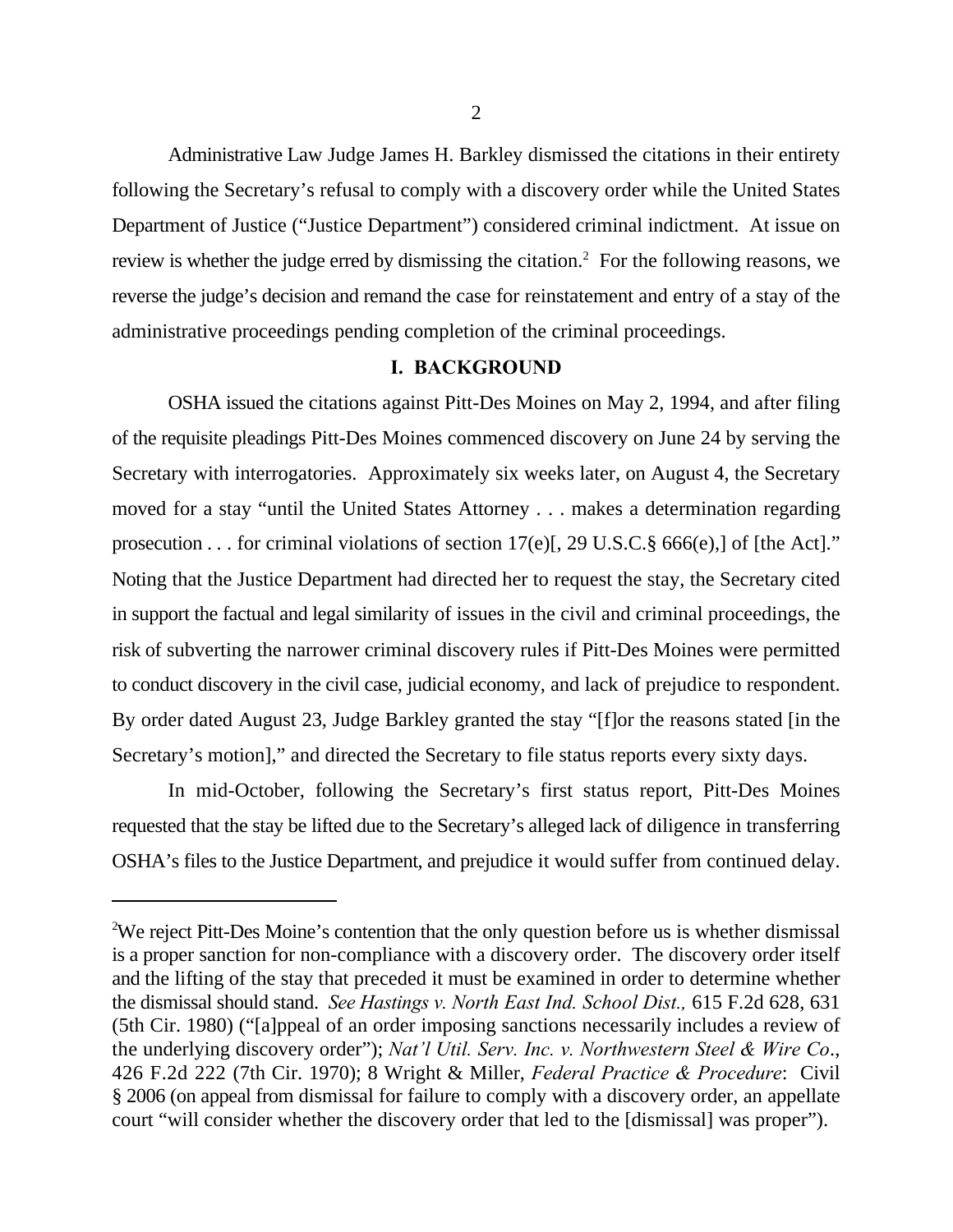Administrative Law Judge James H. Barkley dismissed the citations in their entirety following the Secretary's refusal to comply with a discovery order while the United States Department of Justice ("Justice Department") considered criminal indictment. At issue on review is whether the judge erred by dismissing the citation.<sup>2</sup> For the following reasons, we reverse the judge's decision and remand the case for reinstatement and entry of a stay of the administrative proceedings pending completion of the criminal proceedings.

## **I. BACKGROUND**

OSHA issued the citations against Pitt-Des Moines on May 2, 1994, and after filing of the requisite pleadings Pitt-Des Moines commenced discovery on June 24 by serving the Secretary with interrogatories. Approximately six weeks later, on August 4, the Secretary moved for a stay "until the United States Attorney . . . makes a determination regarding prosecution . . . for criminal violations of section 17(e)[, 29 U.S.C.§ 666(e),] of [the Act]." Noting that the Justice Department had directed her to request the stay, the Secretary cited in support the factual and legal similarity of issues in the civil and criminal proceedings, the risk of subverting the narrower criminal discovery rules if Pitt-Des Moines were permitted to conduct discovery in the civil case, judicial economy, and lack of prejudice to respondent. By order dated August 23, Judge Barkley granted the stay "[f]or the reasons stated [in the Secretary's motion]," and directed the Secretary to file status reports every sixty days.

In mid-October, following the Secretary's first status report, Pitt-Des Moines requested that the stay be lifted due to the Secretary's alleged lack of diligence in transferring OSHA's files to the Justice Department, and prejudice it would suffer from continued delay.

<sup>&</sup>lt;sup>2</sup>We reject Pitt-Des Moine's contention that the only question before us is whether dismissal is a proper sanction for non-compliance with a discovery order. The discovery order itself and the lifting of the stay that preceded it must be examined in order to determine whether the dismissal should stand. *See Hastings v. North East Ind. School Dist.,* 615 F.2d 628, 631 (5th Cir. 1980) ("[a]ppeal of an order imposing sanctions necessarily includes a review of the underlying discovery order"); *Nat'l Util. Serv. Inc. v. Northwestern Steel & Wire Co*., 426 F.2d 222 (7th Cir. 1970); 8 Wright & Miller, *Federal Practice & Procedure*: Civil § 2006 (on appeal from dismissal for failure to comply with a discovery order, an appellate court "will consider whether the discovery order that led to the [dismissal] was proper").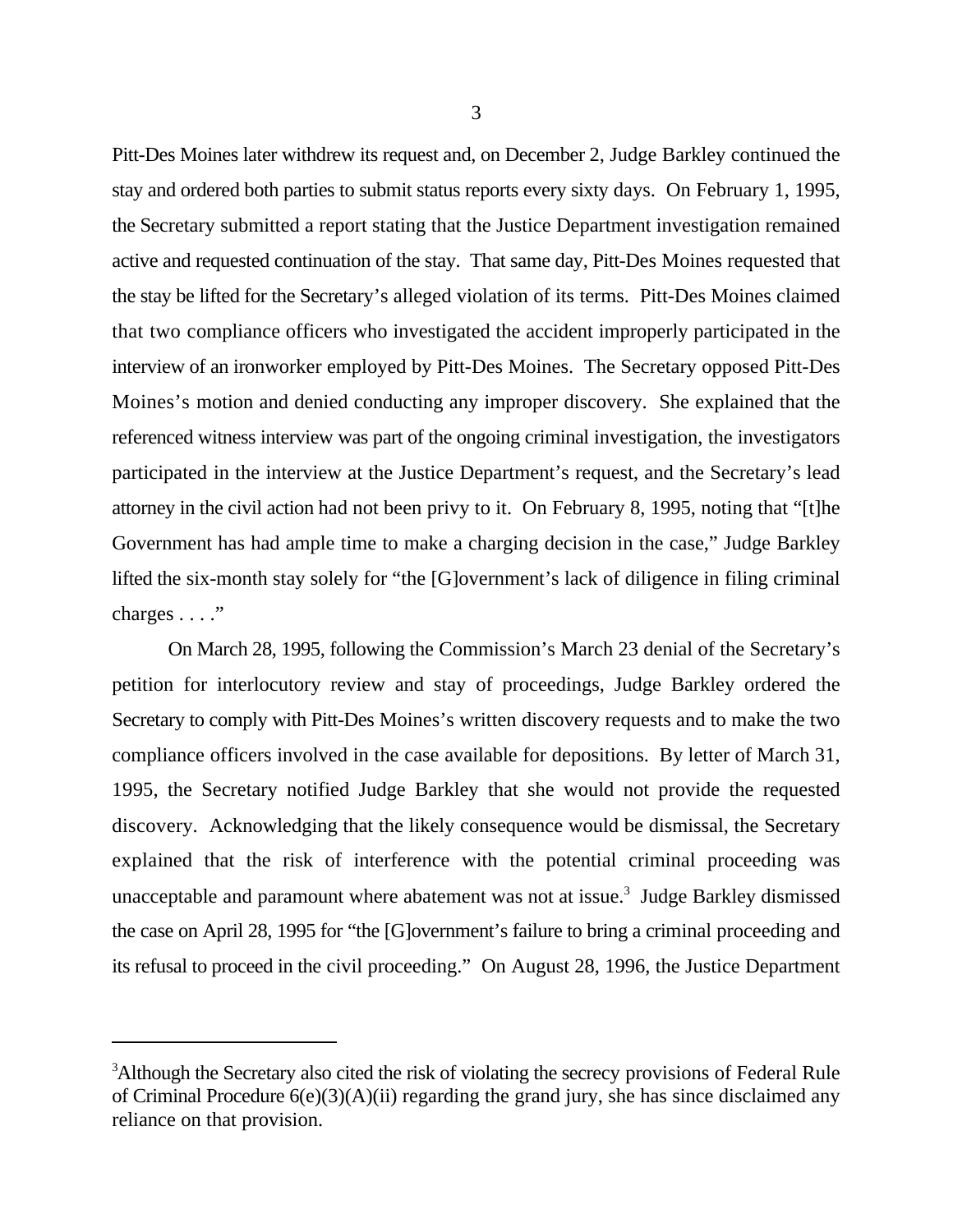Pitt-Des Moines later withdrew its request and, on December 2, Judge Barkley continued the stay and ordered both parties to submit status reports every sixty days. On February 1, 1995, the Secretary submitted a report stating that the Justice Department investigation remained active and requested continuation of the stay. That same day, Pitt-Des Moines requested that the stay be lifted for the Secretary's alleged violation of its terms. Pitt-Des Moines claimed that two compliance officers who investigated the accident improperly participated in the interview of an ironworker employed by Pitt-Des Moines. The Secretary opposed Pitt-Des Moines's motion and denied conducting any improper discovery. She explained that the referenced witness interview was part of the ongoing criminal investigation, the investigators participated in the interview at the Justice Department's request, and the Secretary's lead attorney in the civil action had not been privy to it. On February 8, 1995, noting that "[t]he Government has had ample time to make a charging decision in the case," Judge Barkley lifted the six-month stay solely for "the [G]overnment's lack of diligence in filing criminal charges . . . ."

On March 28, 1995, following the Commission's March 23 denial of the Secretary's petition for interlocutory review and stay of proceedings, Judge Barkley ordered the Secretary to comply with Pitt-Des Moines's written discovery requests and to make the two compliance officers involved in the case available for depositions. By letter of March 31, 1995, the Secretary notified Judge Barkley that she would not provide the requested discovery. Acknowledging that the likely consequence would be dismissal, the Secretary explained that the risk of interference with the potential criminal proceeding was unacceptable and paramount where abatement was not at issue.<sup>3</sup> Judge Barkley dismissed the case on April 28, 1995 for "the [G]overnment's failure to bring a criminal proceeding and its refusal to proceed in the civil proceeding." On August 28, 1996, the Justice Department

<sup>&</sup>lt;sup>3</sup>Although the Secretary also cited the risk of violating the secrecy provisions of Federal Rule of Criminal Procedure  $6(e)(3)(A)(ii)$  regarding the grand jury, she has since disclaimed any reliance on that provision.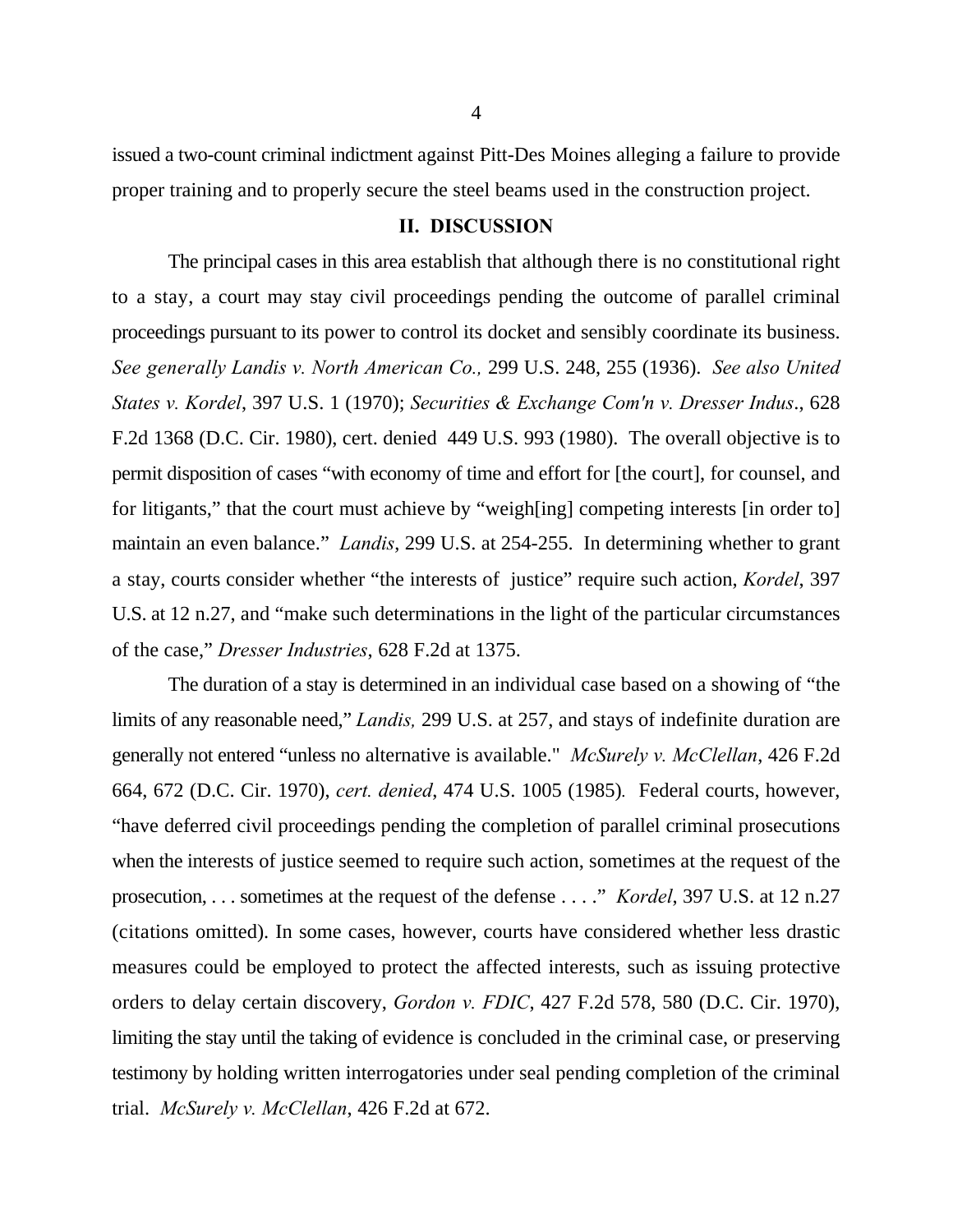issued a two-count criminal indictment against Pitt-Des Moines alleging a failure to provide proper training and to properly secure the steel beams used in the construction project.

## **II. DISCUSSION**

The principal cases in this area establish that although there is no constitutional right to a stay, a court may stay civil proceedings pending the outcome of parallel criminal proceedings pursuant to its power to control its docket and sensibly coordinate its business. *See generally Landis v. North American Co.,* 299 U.S. 248, 255 (1936). *See also United States v. Kordel*, 397 U.S. 1 (1970); *Securities & Exchange Com'n v. Dresser Indus*., 628 F.2d 1368 (D.C. Cir. 1980), cert. denied 449 U.S. 993 (1980). The overall objective is to permit disposition of cases "with economy of time and effort for [the court], for counsel, and for litigants," that the court must achieve by "weigh[ing] competing interests [in order to] maintain an even balance." *Landis*, 299 U.S. at 254-255. In determining whether to grant a stay, courts consider whether "the interests of justice" require such action, *Kordel*, 397 U.S. at 12 n.27, and "make such determinations in the light of the particular circumstances of the case," *Dresser Industries*, 628 F.2d at 1375.

The duration of a stay is determined in an individual case based on a showing of "the limits of any reasonable need," *Landis,* 299 U.S. at 257, and stays of indefinite duration are generally not entered "unless no alternative is available." *McSurely v. McClellan*, 426 F.2d 664, 672 (D.C. Cir. 1970), *cert. denied*, 474 U.S. 1005 (1985)*.* Federal courts, however, "have deferred civil proceedings pending the completion of parallel criminal prosecutions when the interests of justice seemed to require such action, sometimes at the request of the prosecution, . . . sometimes at the request of the defense . . . ." *Kordel*, 397 U.S. at 12 n.27 (citations omitted). In some cases, however, courts have considered whether less drastic measures could be employed to protect the affected interests, such as issuing protective orders to delay certain discovery, *Gordon v. FDIC*, 427 F.2d 578, 580 (D.C. Cir. 1970), limiting the stay until the taking of evidence is concluded in the criminal case, or preserving testimony by holding written interrogatories under seal pending completion of the criminal trial. *McSurely v. McClellan*, 426 F.2d at 672.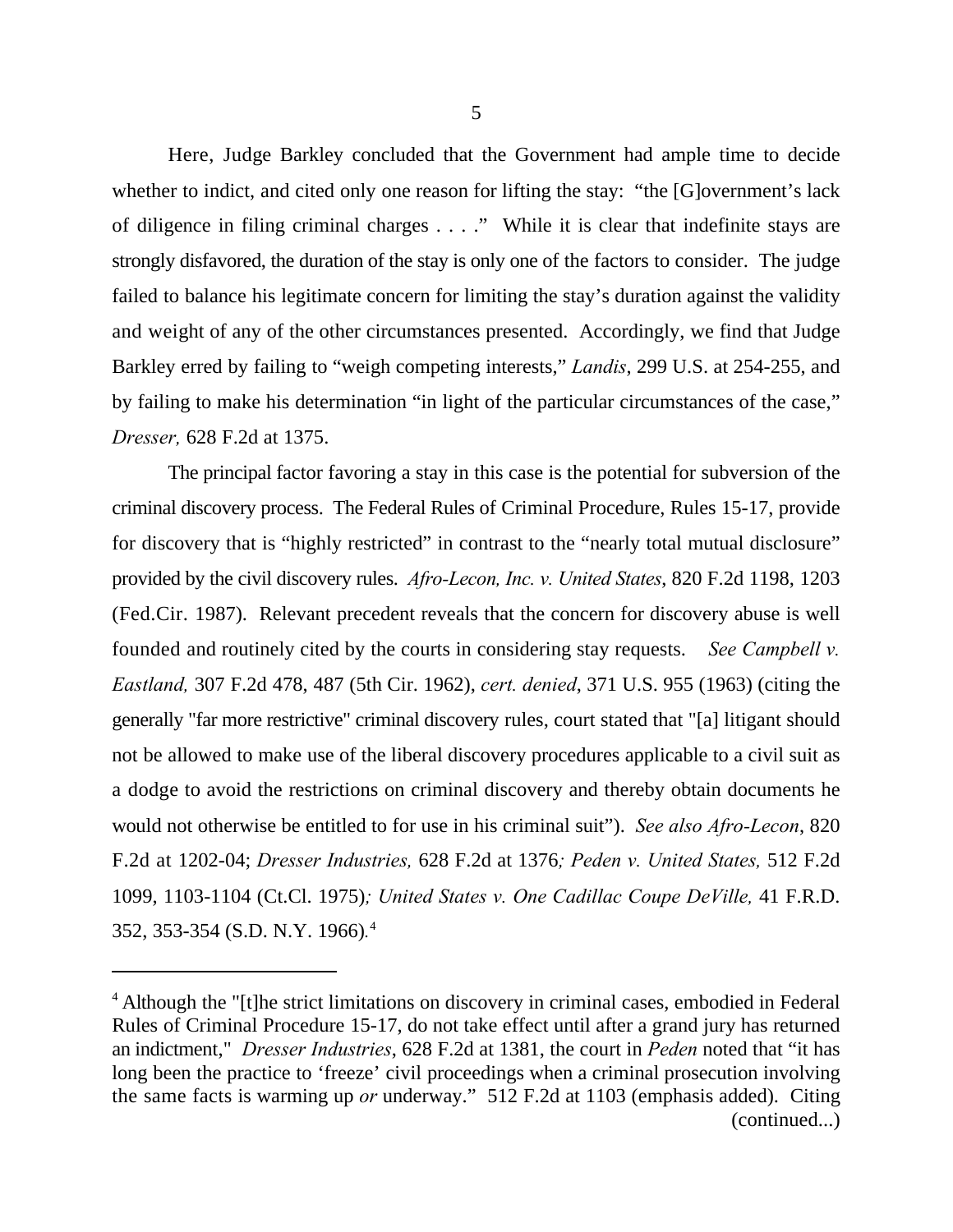Here, Judge Barkley concluded that the Government had ample time to decide whether to indict, and cited only one reason for lifting the stay: "the [G]overnment's lack of diligence in filing criminal charges . . . ." While it is clear that indefinite stays are strongly disfavored, the duration of the stay is only one of the factors to consider. The judge failed to balance his legitimate concern for limiting the stay's duration against the validity and weight of any of the other circumstances presented. Accordingly, we find that Judge Barkley erred by failing to "weigh competing interests," *Landis*, 299 U.S. at 254-255, and by failing to make his determination "in light of the particular circumstances of the case," *Dresser,* 628 F.2d at 1375.

The principal factor favoring a stay in this case is the potential for subversion of the criminal discovery process. The Federal Rules of Criminal Procedure, Rules 15-17, provide for discovery that is "highly restricted" in contrast to the "nearly total mutual disclosure" provided by the civil discovery rules. *Afro-Lecon, Inc. v. United States*, 820 F.2d 1198, 1203 (Fed.Cir. 1987). Relevant precedent reveals that the concern for discovery abuse is well founded and routinely cited by the courts in considering stay requests. *See Campbell v. Eastland,* 307 F.2d 478, 487 (5th Cir. 1962), *cert. denied*, 371 U.S. 955 (1963) (citing the generally "far more restrictive" criminal discovery rules, court stated that "[a] litigant should not be allowed to make use of the liberal discovery procedures applicable to a civil suit as a dodge to avoid the restrictions on criminal discovery and thereby obtain documents he would not otherwise be entitled to for use in his criminal suit"). *See also Afro-Lecon*, 820 F.2d at 1202-04; *Dresser Industries,* 628 F.2d at 1376*; Peden v. United States,* 512 F.2d 1099, 1103-1104 (Ct.Cl. 1975)*; United States v. One Cadillac Coupe DeVille,* 41 F.R.D. 352, 353-354 (S.D. N.Y. 1966)*.* 4

<sup>&</sup>lt;sup>4</sup> Although the "[t]he strict limitations on discovery in criminal cases, embodied in Federal Rules of Criminal Procedure 15-17, do not take effect until after a grand jury has returned an indictment," *Dresser Industries*, 628 F.2d at 1381, the court in *Peden* noted that "it has long been the practice to 'freeze' civil proceedings when a criminal prosecution involving the same facts is warming up *or* underway." 512 F.2d at 1103 (emphasis added). Citing (continued...)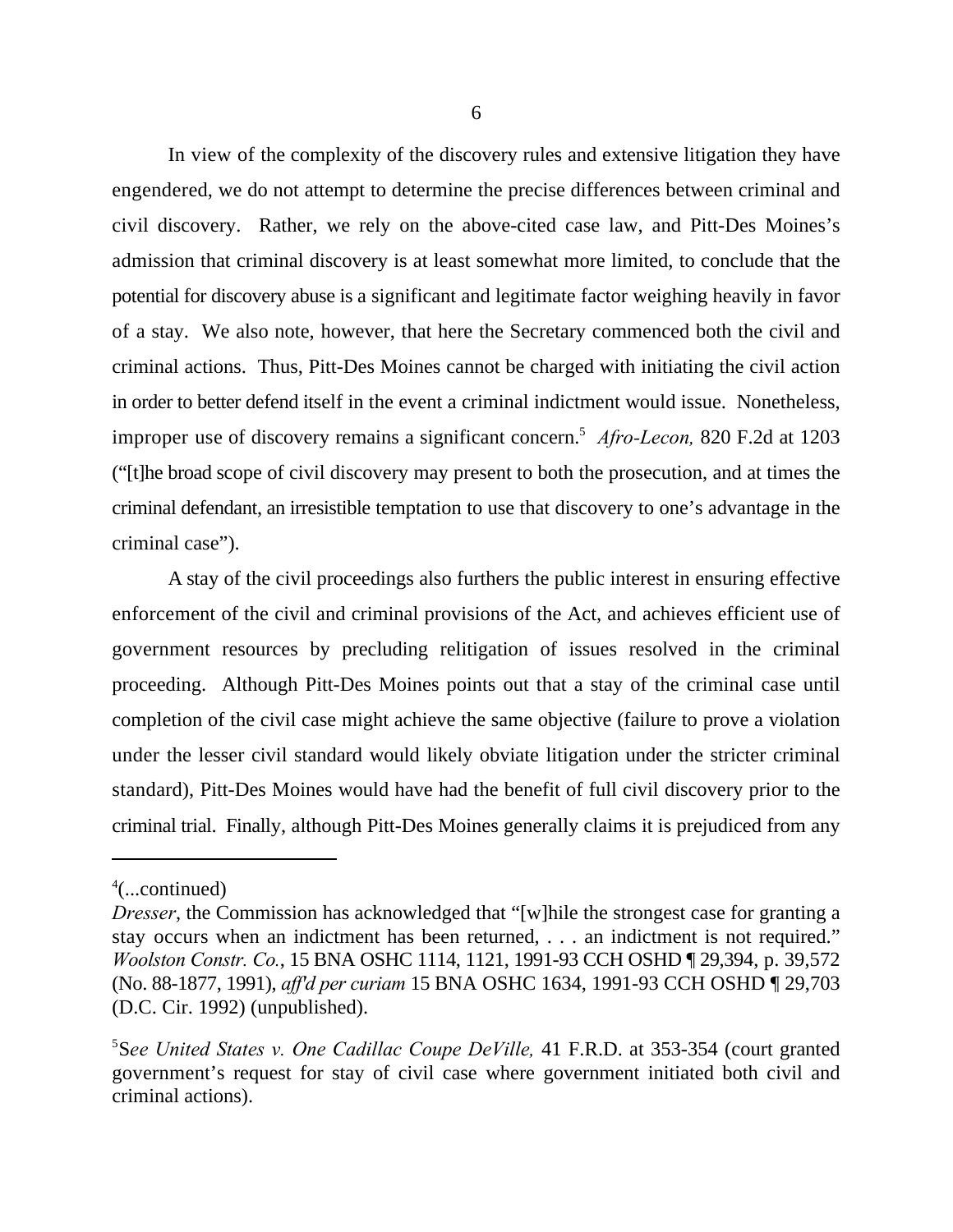In view of the complexity of the discovery rules and extensive litigation they have engendered, we do not attempt to determine the precise differences between criminal and civil discovery. Rather, we rely on the above-cited case law, and Pitt-Des Moines's admission that criminal discovery is at least somewhat more limited, to conclude that the potential for discovery abuse is a significant and legitimate factor weighing heavily in favor of a stay. We also note, however, that here the Secretary commenced both the civil and criminal actions. Thus, Pitt-Des Moines cannot be charged with initiating the civil action in order to better defend itself in the event a criminal indictment would issue. Nonetheless, improper use of discovery remains a significant concern.<sup>5</sup> Afro-Lecon, 820 F.2d at 1203 ("[t]he broad scope of civil discovery may present to both the prosecution, and at times the criminal defendant, an irresistible temptation to use that discovery to one's advantage in the criminal case").

A stay of the civil proceedings also furthers the public interest in ensuring effective enforcement of the civil and criminal provisions of the Act, and achieves efficient use of government resources by precluding relitigation of issues resolved in the criminal proceeding. Although Pitt-Des Moines points out that a stay of the criminal case until completion of the civil case might achieve the same objective (failure to prove a violation under the lesser civil standard would likely obviate litigation under the stricter criminal standard), Pitt-Des Moines would have had the benefit of full civil discovery prior to the criminal trial. Finally, although Pitt-Des Moines generally claims it is prejudiced from any

 $4$ (...continued)

*Dresser*, the Commission has acknowledged that "[w]hile the strongest case for granting a stay occurs when an indictment has been returned, . . . an indictment is not required." *Woolston Constr. Co.*, 15 BNA OSHC 1114, 1121, 1991-93 CCH OSHD ¶ 29,394, p. 39,572 (No. 88-1877, 1991), *aff'd per curiam* 15 BNA OSHC 1634, 1991-93 CCH OSHD ¶ 29,703 (D.C. Cir. 1992) (unpublished).

<sup>&</sup>lt;sup>5</sup>See United States v. One Cadillac Coupe DeVille, 41 F.R.D. at 353-354 (court granted government's request for stay of civil case where government initiated both civil and criminal actions).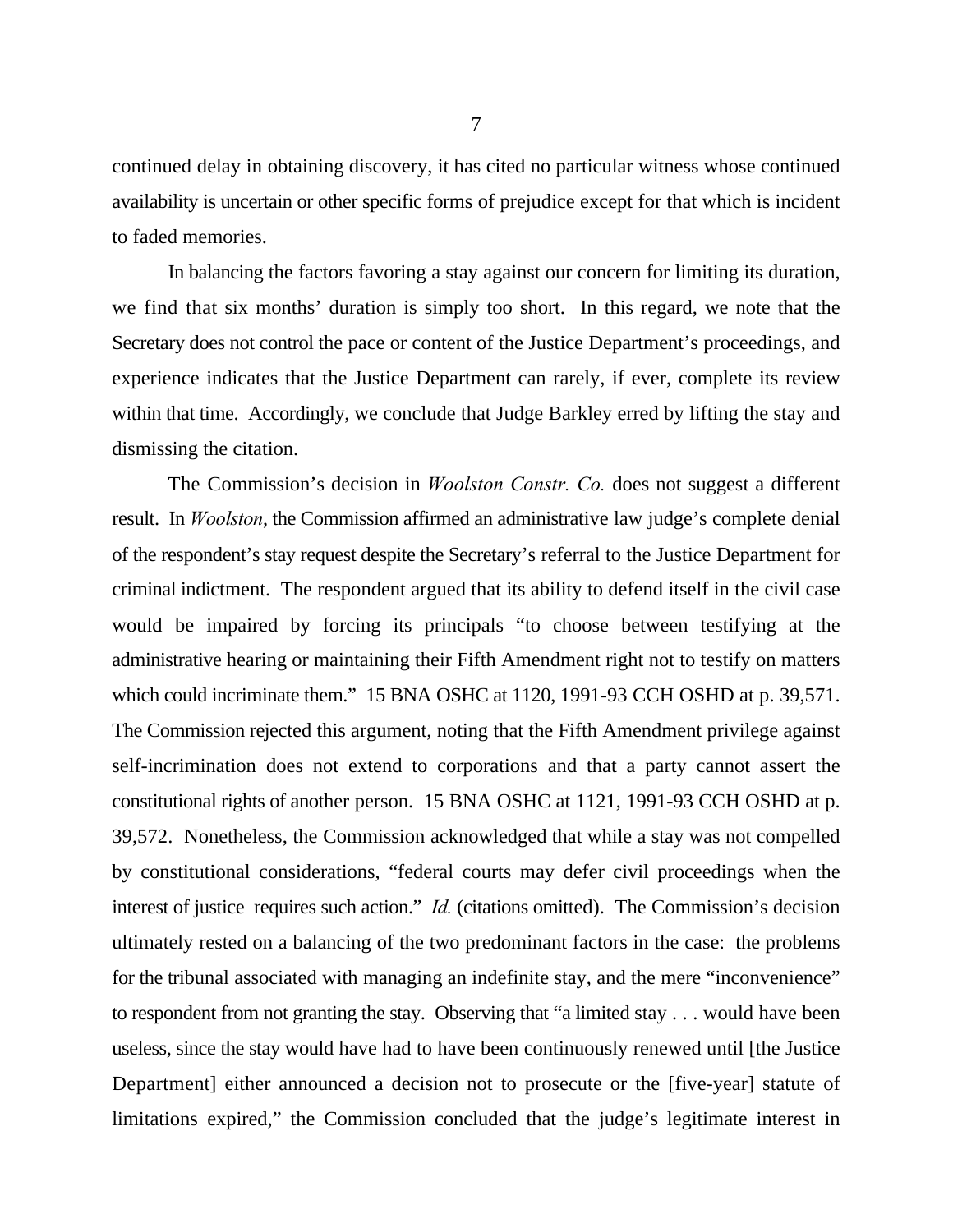continued delay in obtaining discovery, it has cited no particular witness whose continued availability is uncertain or other specific forms of prejudice except for that which is incident to faded memories.

In balancing the factors favoring a stay against our concern for limiting its duration, we find that six months' duration is simply too short. In this regard, we note that the Secretary does not control the pace or content of the Justice Department's proceedings, and experience indicates that the Justice Department can rarely, if ever, complete its review within that time. Accordingly, we conclude that Judge Barkley erred by lifting the stay and dismissing the citation.

The Commission's decision in *Woolston Constr. Co.* does not suggest a different result. In *Woolston*, the Commission affirmed an administrative law judge's complete denial of the respondent's stay request despite the Secretary's referral to the Justice Department for criminal indictment. The respondent argued that its ability to defend itself in the civil case would be impaired by forcing its principals "to choose between testifying at the administrative hearing or maintaining their Fifth Amendment right not to testify on matters which could incriminate them." 15 BNA OSHC at 1120, 1991-93 CCH OSHD at p. 39,571. The Commission rejected this argument, noting that the Fifth Amendment privilege against self-incrimination does not extend to corporations and that a party cannot assert the constitutional rights of another person. 15 BNA OSHC at 1121, 1991-93 CCH OSHD at p. 39,572. Nonetheless, the Commission acknowledged that while a stay was not compelled by constitutional considerations, "federal courts may defer civil proceedings when the interest of justice requires such action." *Id.* (citations omitted). The Commission's decision ultimately rested on a balancing of the two predominant factors in the case: the problems for the tribunal associated with managing an indefinite stay, and the mere "inconvenience" to respondent from not granting the stay. Observing that "a limited stay . . . would have been useless, since the stay would have had to have been continuously renewed until [the Justice Department] either announced a decision not to prosecute or the [five-year] statute of limitations expired," the Commission concluded that the judge's legitimate interest in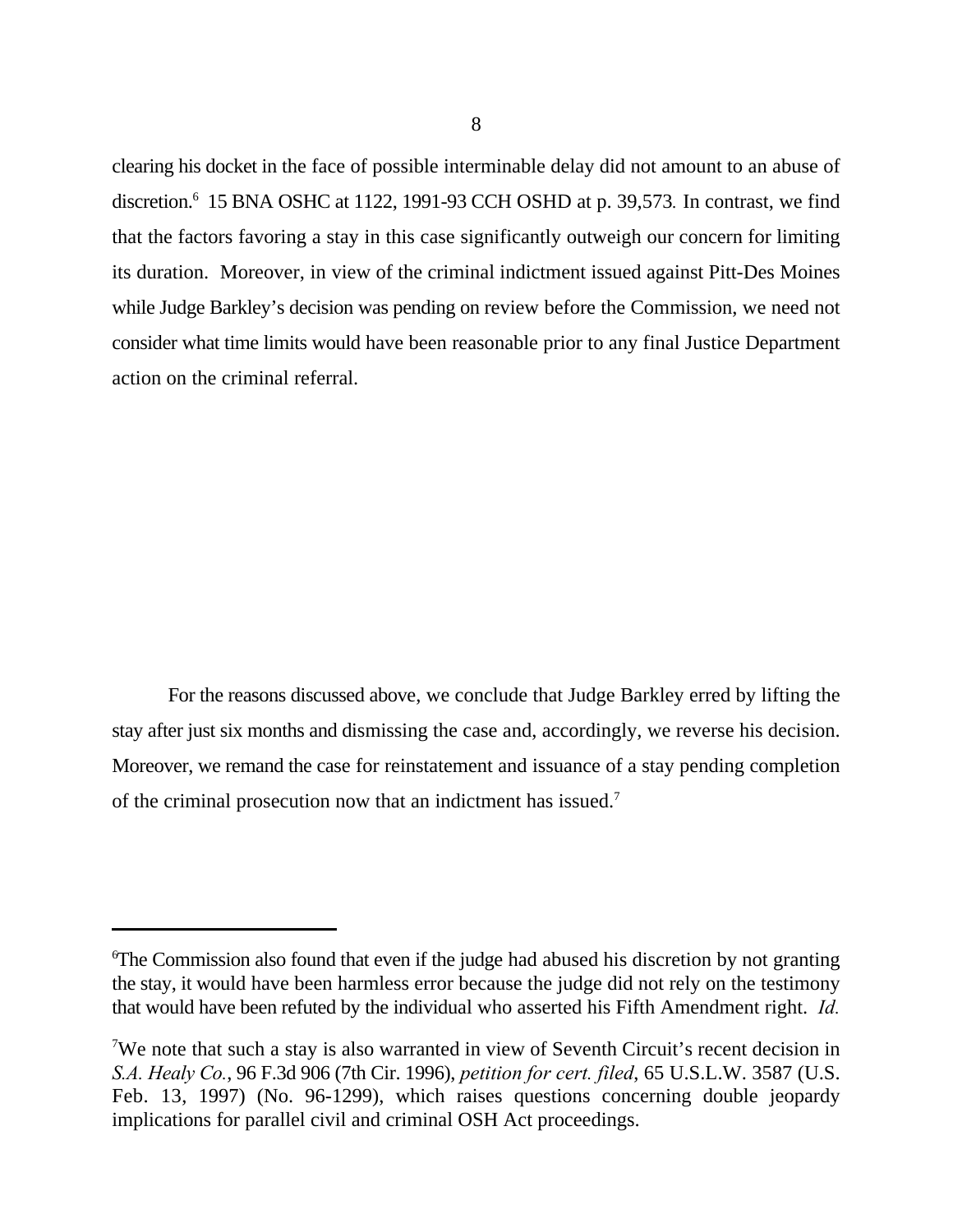clearing his docket in the face of possible interminable delay did not amount to an abuse of discretion.<sup>6</sup> 15 BNA OSHC at 1122, 1991-93 CCH OSHD at p. 39,573. In contrast, we find that the factors favoring a stay in this case significantly outweigh our concern for limiting its duration. Moreover, in view of the criminal indictment issued against Pitt-Des Moines while Judge Barkley's decision was pending on review before the Commission, we need not consider what time limits would have been reasonable prior to any final Justice Department action on the criminal referral.

 For the reasons discussed above, we conclude that Judge Barkley erred by lifting the stay after just six months and dismissing the case and, accordingly, we reverse his decision. Moreover, we remand the case for reinstatement and issuance of a stay pending completion of the criminal prosecution now that an indictment has issued.7

 $\sigma$ The Commission also found that even if the judge had abused his discretion by not granting the stay, it would have been harmless error because the judge did not rely on the testimony that would have been refuted by the individual who asserted his Fifth Amendment right. *Id.*

<sup>&</sup>lt;sup>7</sup>We note that such a stay is also warranted in view of Seventh Circuit's recent decision in *S.A. Healy Co.*, 96 F.3d 906 (7th Cir. 1996), *petition for cert. filed*, 65 U.S.L.W. 3587 (U.S. Feb. 13, 1997) (No. 96-1299), which raises questions concerning double jeopardy implications for parallel civil and criminal OSH Act proceedings.